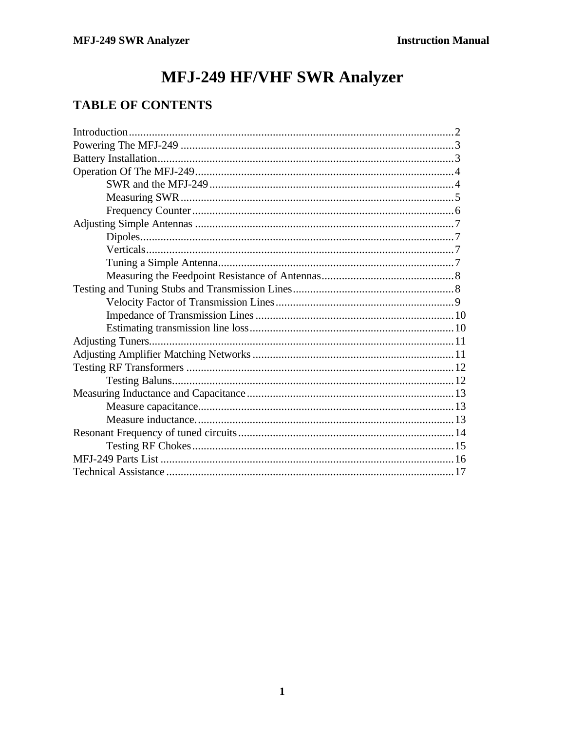# MFJ-249 HF/VHF SWR Analyzer

# **TABLE OF CONTENTS**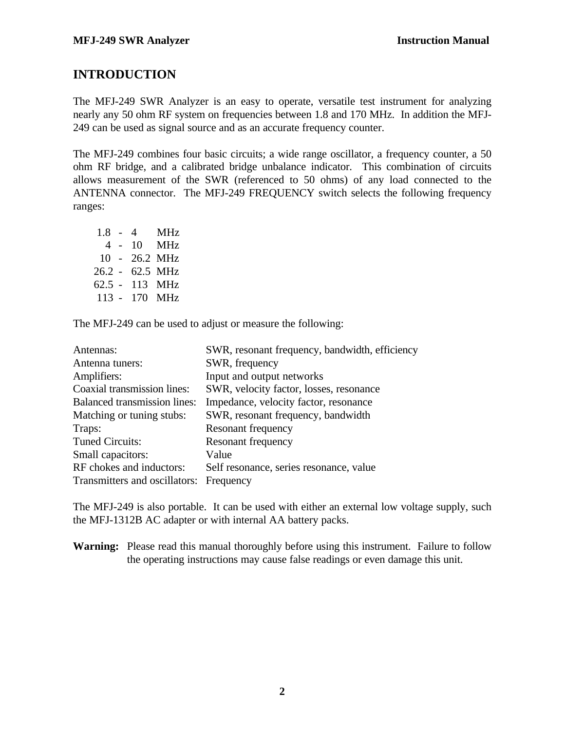### **INTRODUCTION**

The MFJ-249 SWR Analyzer is an easy to operate, versatile test instrument for analyzing nearly any 50 ohm RF system on frequencies between 1.8 and 170 MHz. In addition the MFJ-249 can be used as signal source and as an accurate frequency counter.

The MFJ-249 combines four basic circuits; a wide range oscillator, a frequency counter, a 50 ohm RF bridge, and a calibrated bridge unbalance indicator. This combination of circuits allows measurement of the SWR (referenced to 50 ohms) of any load connected to the ANTENNA connector. The MFJ-249 FREQUENCY switch selects the following frequency ranges:

| $1.8 - 4$ |     | <b>MHz</b> |
|-----------|-----|------------|
|           | 4 - | 10 MHz     |
| $10 -$    |     | 26.2 MHz   |
| 26.2 -    |     | 62.5 MHz   |
| 62.5 -    |     | 113 MHz    |
| $113 -$   |     | 170 MHz    |

The MFJ-249 can be used to adjust or measure the following:

| Antennas:                               | SWR, resonant frequency, bandwidth, efficiency |
|-----------------------------------------|------------------------------------------------|
| Antenna tuners:                         | SWR, frequency                                 |
| Amplifiers:                             | Input and output networks                      |
| Coaxial transmission lines:             | SWR, velocity factor, losses, resonance        |
| <b>Balanced transmission lines:</b>     | Impedance, velocity factor, resonance          |
| Matching or tuning stubs:               | SWR, resonant frequency, bandwidth             |
| Traps:                                  | Resonant frequency                             |
| <b>Tuned Circuits:</b>                  | Resonant frequency                             |
| Small capacitors:                       | Value                                          |
| RF chokes and inductors:                | Self resonance, series resonance, value        |
| Transmitters and oscillators: Frequency |                                                |

The MFJ-249 is also portable. It can be used with either an external low voltage supply, such the MFJ-1312B AC adapter or with internal AA battery packs.

**Warning:** Please read this manual thoroughly before using this instrument. Failure to follow the operating instructions may cause false readings or even damage this unit.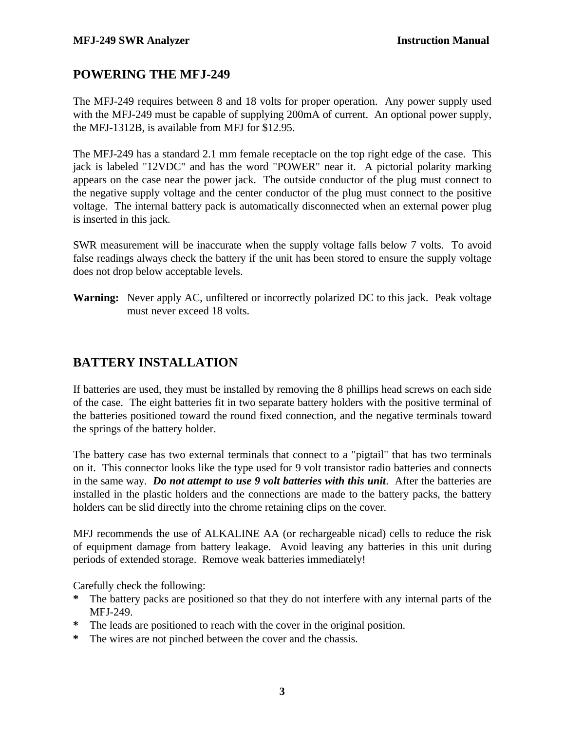### **POWERING THE MFJ-249**

The MFJ-249 requires between 8 and 18 volts for proper operation. Any power supply used with the MFJ-249 must be capable of supplying 200mA of current. An optional power supply, the MFJ-1312B, is available from MFJ for \$12.95.

The MFJ-249 has a standard 2.1 mm female receptacle on the top right edge of the case. This jack is labeled "12VDC" and has the word "POWER" near it. A pictorial polarity marking appears on the case near the power jack. The outside conductor of the plug must connect to the negative supply voltage and the center conductor of the plug must connect to the positive voltage. The internal battery pack is automatically disconnected when an external power plug is inserted in this jack.

SWR measurement will be inaccurate when the supply voltage falls below 7 volts. To avoid false readings always check the battery if the unit has been stored to ensure the supply voltage does not drop below acceptable levels.

**Warning:** Never apply AC, unfiltered or incorrectly polarized DC to this jack. Peak voltage must never exceed 18 volts.

### **BATTERY INSTALLATION**

If batteries are used, they must be installed by removing the 8 phillips head screws on each side of the case. The eight batteries fit in two separate battery holders with the positive terminal of the batteries positioned toward the round fixed connection, and the negative terminals toward the springs of the battery holder.

The battery case has two external terminals that connect to a "pigtail" that has two terminals on it. This connector looks like the type used for 9 volt transistor radio batteries and connects in the same way. *Do not attempt to use 9 volt batteries with this unit*. After the batteries are installed in the plastic holders and the connections are made to the battery packs, the battery holders can be slid directly into the chrome retaining clips on the cover.

MFJ recommends the use of ALKALINE AA (or rechargeable nicad) cells to reduce the risk of equipment damage from battery leakage. Avoid leaving any batteries in this unit during periods of extended storage. Remove weak batteries immediately!

Carefully check the following:

- **\*** The battery packs are positioned so that they do not interfere with any internal parts of the MFJ-249.
- **\*** The leads are positioned to reach with the cover in the original position.
- **\*** The wires are not pinched between the cover and the chassis.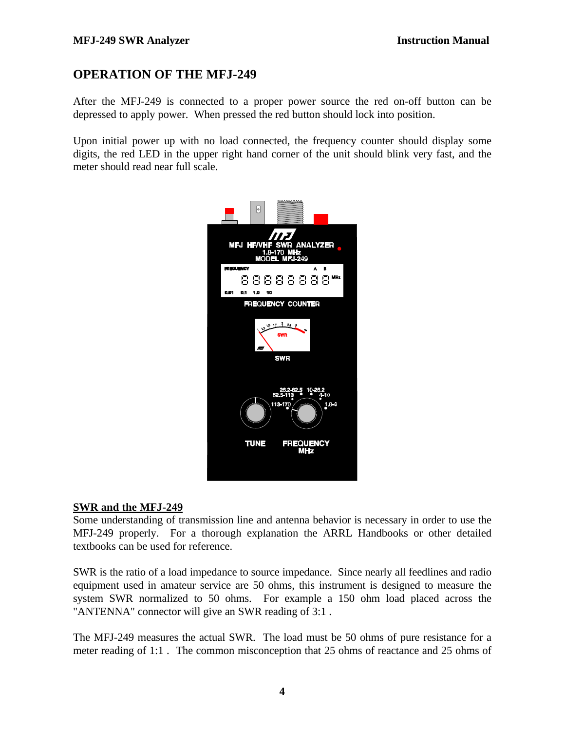### **OPERATION OF THE MFJ-249**

After the MFJ-249 is connected to a proper power source the red on-off button can be depressed to apply power. When pressed the red button should lock into position.

Upon initial power up with no load connected, the frequency counter should display some digits, the red LED in the upper right hand corner of the unit should blink very fast, and the meter should read near full scale.



#### **SWR and the MFJ-249**

Some understanding of transmission line and antenna behavior is necessary in order to use the MFJ-249 properly. For a thorough explanation the ARRL Handbooks or other detailed textbooks can be used for reference.

SWR is the ratio of a load impedance to source impedance. Since nearly all feedlines and radio equipment used in amateur service are 50 ohms, this instrument is designed to measure the system SWR normalized to 50 ohms. For example a 150 ohm load placed across the "ANTENNA" connector will give an SWR reading of 3:1 .

The MFJ-249 measures the actual SWR. The load must be 50 ohms of pure resistance for a meter reading of 1:1 . The common misconception that 25 ohms of reactance and 25 ohms of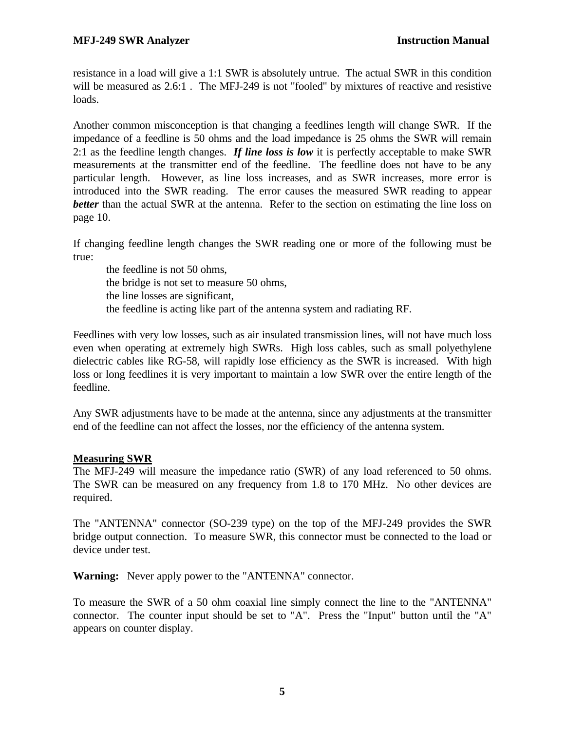resistance in a load will give a 1:1 SWR is absolutely untrue. The actual SWR in this condition will be measured as 2.6:1. The MFJ-249 is not "fooled" by mixtures of reactive and resistive loads.

Another common misconception is that changing a feedlines length will change SWR. If the impedance of a feedline is 50 ohms and the load impedance is 25 ohms the SWR will remain 2:1 as the feedline length changes. *If line loss is low* it is perfectly acceptable to make SWR measurements at the transmitter end of the feedline. The feedline does not have to be any particular length. However, as line loss increases, and as SWR increases, more error is introduced into the SWR reading. The error causes the measured SWR reading to appear *better* than the actual SWR at the antenna. Refer to the section on estimating the line loss on page 10.

If changing feedline length changes the SWR reading one or more of the following must be true:

the feedline is not 50 ohms, the bridge is not set to measure 50 ohms, the line losses are significant, the feedline is acting like part of the antenna system and radiating RF.

Feedlines with very low losses, such as air insulated transmission lines, will not have much loss even when operating at extremely high SWRs. High loss cables, such as small polyethylene dielectric cables like RG-58, will rapidly lose efficiency as the SWR is increased. With high loss or long feedlines it is very important to maintain a low SWR over the entire length of the feedline.

Any SWR adjustments have to be made at the antenna, since any adjustments at the transmitter end of the feedline can not affect the losses, nor the efficiency of the antenna system.

#### **Measuring SWR**

The MFJ-249 will measure the impedance ratio (SWR) of any load referenced to 50 ohms. The SWR can be measured on any frequency from 1.8 to 170 MHz. No other devices are required.

The "ANTENNA" connector (SO-239 type) on the top of the MFJ-249 provides the SWR bridge output connection. To measure SWR, this connector must be connected to the load or device under test.

**Warning:** Never apply power to the "ANTENNA" connector.

To measure the SWR of a 50 ohm coaxial line simply connect the line to the "ANTENNA" connector. The counter input should be set to "A". Press the "Input" button until the "A" appears on counter display.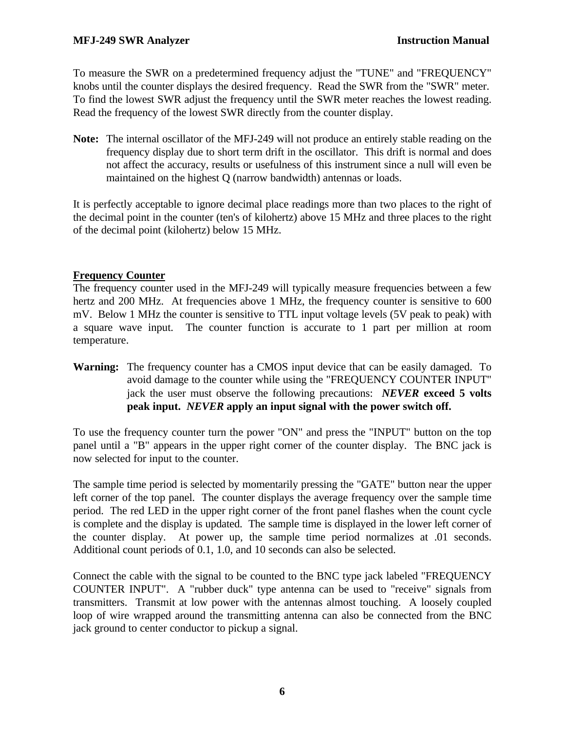To measure the SWR on a predetermined frequency adjust the "TUNE" and "FREQUENCY" knobs until the counter displays the desired frequency. Read the SWR from the "SWR" meter. To find the lowest SWR adjust the frequency until the SWR meter reaches the lowest reading. Read the frequency of the lowest SWR directly from the counter display.

**Note:** The internal oscillator of the MFJ-249 will not produce an entirely stable reading on the frequency display due to short term drift in the oscillator. This drift is normal and does not affect the accuracy, results or usefulness of this instrument since a null will even be maintained on the highest Q (narrow bandwidth) antennas or loads.

It is perfectly acceptable to ignore decimal place readings more than two places to the right of the decimal point in the counter (ten's of kilohertz) above 15 MHz and three places to the right of the decimal point (kilohertz) below 15 MHz.

#### **Frequency Counter**

The frequency counter used in the MFJ-249 will typically measure frequencies between a few hertz and 200 MHz. At frequencies above 1 MHz, the frequency counter is sensitive to 600 mV. Below 1 MHz the counter is sensitive to TTL input voltage levels (5V peak to peak) with a square wave input. The counter function is accurate to 1 part per million at room temperature.

**Warning:** The frequency counter has a CMOS input device that can be easily damaged. To avoid damage to the counter while using the "FREQUENCY COUNTER INPUT" jack the user must observe the following precautions: *NEVER* **exceed 5 volts peak input.** *NEVER* **apply an input signal with the power switch off.**

To use the frequency counter turn the power "ON" and press the "INPUT" button on the top panel until a "B" appears in the upper right corner of the counter display. The BNC jack is now selected for input to the counter.

The sample time period is selected by momentarily pressing the "GATE" button near the upper left corner of the top panel. The counter displays the average frequency over the sample time period. The red LED in the upper right corner of the front panel flashes when the count cycle is complete and the display is updated. The sample time is displayed in the lower left corner of the counter display. At power up, the sample time period normalizes at .01 seconds. Additional count periods of 0.1, 1.0, and 10 seconds can also be selected.

Connect the cable with the signal to be counted to the BNC type jack labeled "FREQUENCY COUNTER INPUT". A "rubber duck" type antenna can be used to "receive" signals from transmitters. Transmit at low power with the antennas almost touching. A loosely coupled loop of wire wrapped around the transmitting antenna can also be connected from the BNC jack ground to center conductor to pickup a signal.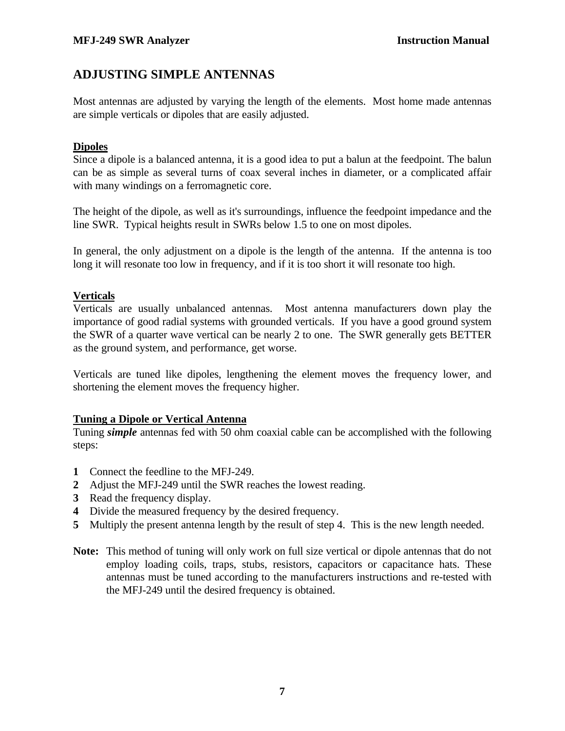### **ADJUSTING SIMPLE ANTENNAS**

Most antennas are adjusted by varying the length of the elements. Most home made antennas are simple verticals or dipoles that are easily adjusted.

#### **Dipoles**

Since a dipole is a balanced antenna, it is a good idea to put a balun at the feedpoint. The balun can be as simple as several turns of coax several inches in diameter, or a complicated affair with many windings on a ferromagnetic core.

The height of the dipole, as well as it's surroundings, influence the feedpoint impedance and the line SWR. Typical heights result in SWRs below 1.5 to one on most dipoles.

In general, the only adjustment on a dipole is the length of the antenna. If the antenna is too long it will resonate too low in frequency, and if it is too short it will resonate too high.

#### **Verticals**

Verticals are usually unbalanced antennas. Most antenna manufacturers down play the importance of good radial systems with grounded verticals. If you have a good ground system the SWR of a quarter wave vertical can be nearly 2 to one. The SWR generally gets BETTER as the ground system, and performance, get worse.

Verticals are tuned like dipoles, lengthening the element moves the frequency lower, and shortening the element moves the frequency higher.

#### **Tuning a Dipole or Vertical Antenna**

Tuning *simple* antennas fed with 50 ohm coaxial cable can be accomplished with the following steps:

- **1** Connect the feedline to the MFJ-249.
- **2** Adjust the MFJ-249 until the SWR reaches the lowest reading.
- **3** Read the frequency display.
- **4** Divide the measured frequency by the desired frequency.
- **5** Multiply the present antenna length by the result of step 4. This is the new length needed.
- **Note:** This method of tuning will only work on full size vertical or dipole antennas that do not employ loading coils, traps, stubs, resistors, capacitors or capacitance hats. These antennas must be tuned according to the manufacturers instructions and re-tested with the MFJ-249 until the desired frequency is obtained.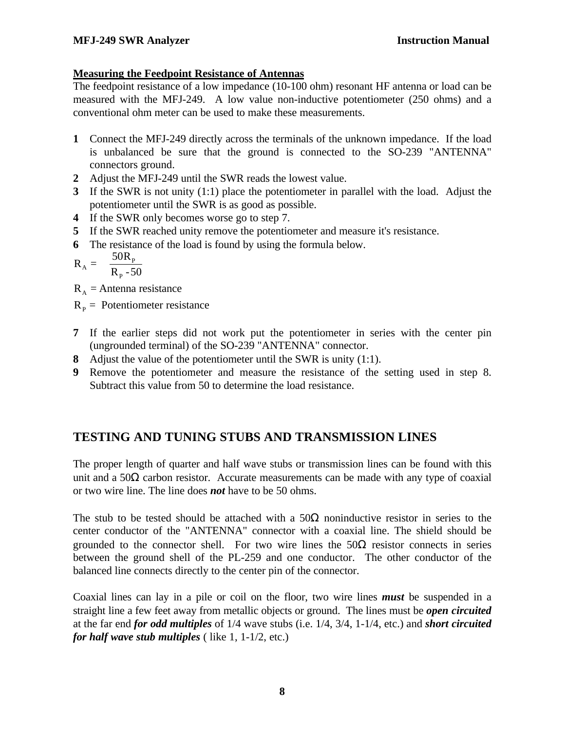#### **Measuring the Feedpoint Resistance of Antennas**

The feedpoint resistance of a low impedance (10-100 ohm) resonant HF antenna or load can be measured with the MFJ-249. A low value non-inductive potentiometer (250 ohms) and a conventional ohm meter can be used to make these measurements.

- **1** Connect the MFJ-249 directly across the terminals of the unknown impedance. If the load is unbalanced be sure that the ground is connected to the SO-239 "ANTENNA" connectors ground.
- **2** Adjust the MFJ-249 until the SWR reads the lowest value.
- **3** If the SWR is not unity (1:1) place the potentiometer in parallel with the load. Adjust the potentiometer until the SWR is as good as possible.
- **4** If the SWR only becomes worse go to step 7.
- **5** If the SWR reached unity remove the potentiometer and measure it's resistance.
- **6** The resistance of the load is found by using the formula below.

$$
R_A = \frac{50R_p}{R_p - 50}
$$

 $R_A$  = Antenna resistance

 $R<sub>p</sub>$  = Potentiometer resistance

- **7** If the earlier steps did not work put the potentiometer in series with the center pin (ungrounded terminal) of the SO-239 "ANTENNA" connector.
- **8** Adjust the value of the potentiometer until the SWR is unity (1:1).
- **9** Remove the potentiometer and measure the resistance of the setting used in step 8. Subtract this value from 50 to determine the load resistance.

### **TESTING AND TUNING STUBS AND TRANSMISSION LINES**

The proper length of quarter and half wave stubs or transmission lines can be found with this unit and a  $50\Omega$  carbon resistor. Accurate measurements can be made with any type of coaxial or two wire line. The line does *not* have to be 50 ohms.

The stub to be tested should be attached with a  $50\Omega$  noninductive resistor in series to the center conductor of the "ANTENNA" connector with a coaxial line. The shield should be grounded to the connector shell. For two wire lines the  $50\Omega$  resistor connects in series between the ground shell of the PL-259 and one conductor. The other conductor of the balanced line connects directly to the center pin of the connector.

Coaxial lines can lay in a pile or coil on the floor, two wire lines *must* be suspended in a straight line a few feet away from metallic objects or ground. The lines must be *open circuited* at the far end *for odd multiples* of 1/4 wave stubs (i.e. 1/4, 3/4, 1-1/4, etc.) and *short circuited for half wave stub multiples* ( like 1, 1-1/2, etc.)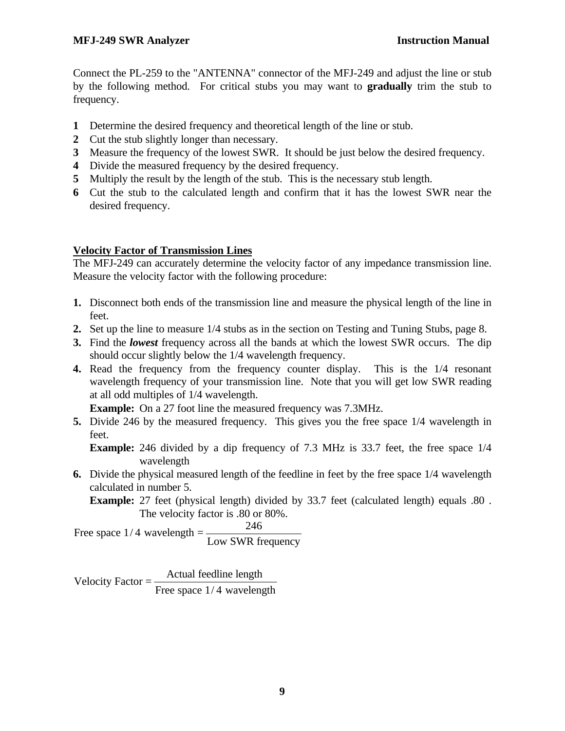Connect the PL-259 to the "ANTENNA" connector of the MFJ-249 and adjust the line or stub by the following method. For critical stubs you may want to **gradually** trim the stub to frequency.

- **1** Determine the desired frequency and theoretical length of the line or stub.
- **2** Cut the stub slightly longer than necessary.
- **3** Measure the frequency of the lowest SWR. It should be just below the desired frequency.
- **4** Divide the measured frequency by the desired frequency.
- **5** Multiply the result by the length of the stub. This is the necessary stub length.
- **6** Cut the stub to the calculated length and confirm that it has the lowest SWR near the desired frequency.

### **Velocity Factor of Transmission Lines**

The MFJ-249 can accurately determine the velocity factor of any impedance transmission line. Measure the velocity factor with the following procedure:

- **1.** Disconnect both ends of the transmission line and measure the physical length of the line in feet.
- **2.** Set up the line to measure 1/4 stubs as in the section on Testing and Tuning Stubs, page 8.
- **3.** Find the *lowest* frequency across all the bands at which the lowest SWR occurs. The dip should occur slightly below the 1/4 wavelength frequency.
- **4.** Read the frequency from the frequency counter display. This is the 1/4 resonant wavelength frequency of your transmission line. Note that you will get low SWR reading at all odd multiples of 1/4 wavelength.

**Example:** On a 27 foot line the measured frequency was 7.3MHz.

**5.** Divide 246 by the measured frequency. This gives you the free space 1/4 wavelength in feet.

**Example:** 246 divided by a dip frequency of 7.3 MHz is 33.7 feet, the free space 1/4 wavelength

**6.** Divide the physical measured length of the feedline in feet by the free space 1/4 wavelength calculated in number 5.

**Example:** 27 feet (physical length) divided by 33.7 feet (calculated length) equals .80 . The velocity factor is .80 or 80%.

246

Free space  $1/4$  wavelength = Low SWR frequency

Velocity Factor  $=$   $\frac{\text{Actual feeding length}}{\sqrt{1 + \frac{1}{n}}$ Free space  $1/4$  wavelength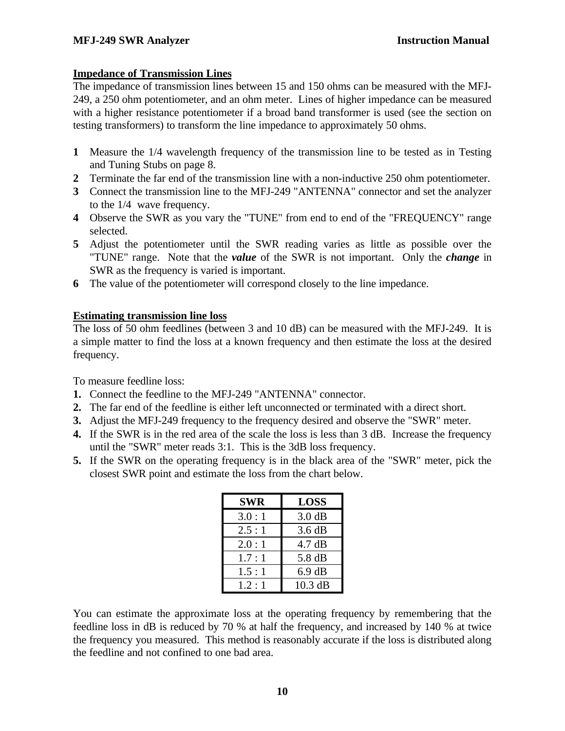#### **Impedance of Transmission Lines**

The impedance of transmission lines between 15 and 150 ohms can be measured with the MFJ-249, a 250 ohm potentiometer, and an ohm meter. Lines of higher impedance can be measured with a higher resistance potentiometer if a broad band transformer is used (see the section on testing transformers) to transform the line impedance to approximately 50 ohms.

- **1** Measure the 1/4 wavelength frequency of the transmission line to be tested as in Testing and Tuning Stubs on page 8.
- **2** Terminate the far end of the transmission line with a non-inductive 250 ohm potentiometer.
- **3** Connect the transmission line to the MFJ-249 "ANTENNA" connector and set the analyzer to the 1/4 wave frequency.
- **4** Observe the SWR as you vary the "TUNE" from end to end of the "FREQUENCY" range selected.
- **5** Adjust the potentiometer until the SWR reading varies as little as possible over the "TUNE" range. Note that the *value* of the SWR is not important. Only the *change* in SWR as the frequency is varied is important.
- **6** The value of the potentiometer will correspond closely to the line impedance.

#### **Estimating transmission line loss**

The loss of 50 ohm feedlines (between 3 and 10 dB) can be measured with the MFJ-249. It is a simple matter to find the loss at a known frequency and then estimate the loss at the desired frequency.

To measure feedline loss:

- **1.** Connect the feedline to the MFJ-249 "ANTENNA" connector.
- **2.** The far end of the feedline is either left unconnected or terminated with a direct short.
- **3.** Adjust the MFJ-249 frequency to the frequency desired and observe the "SWR" meter.
- **4.** If the SWR is in the red area of the scale the loss is less than 3 dB. Increase the frequency until the "SWR" meter reads 3:1. This is the 3dB loss frequency.
- **5.** If the SWR on the operating frequency is in the black area of the "SWR" meter, pick the closest SWR point and estimate the loss from the chart below.

| <b>SWR</b> | <b>LOSS</b>      |
|------------|------------------|
| 3.0:1      | $3.0 \text{ dB}$ |
| 2.5:1      | $3.6 \text{ dB}$ |
| 2.0:1      | 4.7 dB           |
| 1.7:1      | 5.8 dB           |
| 1.5:1      | $6.9 \text{ dB}$ |
| 1.2:1      | $10.3$ dB        |

You can estimate the approximate loss at the operating frequency by remembering that the feedline loss in dB is reduced by 70 % at half the frequency, and increased by 140 % at twice the frequency you measured. This method is reasonably accurate if the loss is distributed along the feedline and not confined to one bad area.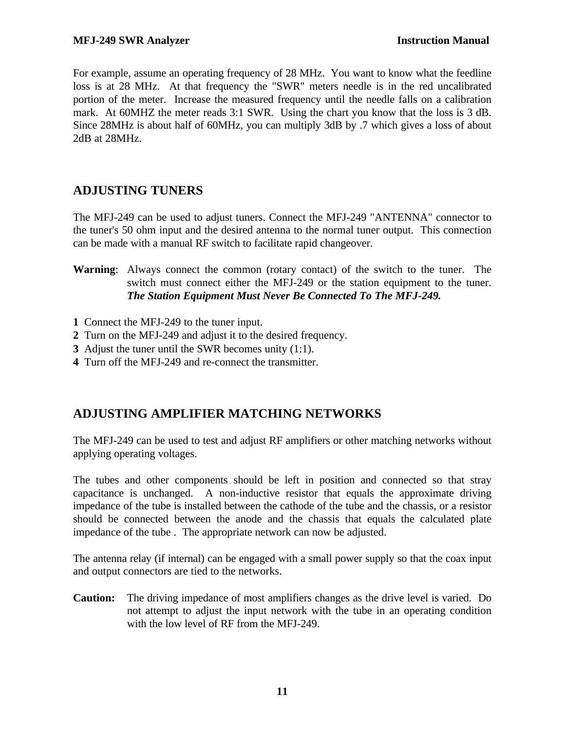For example, assume an operating frequency of 28 MHz. You want to know what the feedline loss is at 28 MHz. At that frequency the "SWR" meters needle is in the red uncalibrated portion of the meter. Increase the measured frequency until the needle falls on a calibration mark. At 60MHZ the meter reads 3:1 SWR. Using the chart you know that the loss is 3 dB. Since 28MHz is about half of 60MHz, you can multiply 3dB by .7 which gives a loss of about 2dB at 28MHz.

### **ADJUSTING TUNERS**

The MFJ-249 can be used to adjust tuners. Connect the MFJ-249 "ANTENNA" connector to the tuner's 50 ohm input and the desired antenna to the normal tuner output. This connection can be made with a manual RF switch to facilitate rapid changeover.

- **Warning**: Always connect the common (rotary contact) of the switch to the tuner. The switch must connect either the MFJ-249 or the station equipment to the tuner. *The Station Equipment Must Never Be Connected To The MFJ-249.*
- **1** Connect the MFJ-249 to the tuner input.
- **2** Turn on the MFJ-249 and adjust it to the desired frequency.
- **3** Adjust the tuner until the SWR becomes unity (1:1).
- **4** Turn off the MFJ-249 and re-connect the transmitter.

### **ADJUSTING AMPLIFIER MATCHING NETWORKS**

The MFJ-249 can be used to test and adjust RF amplifiers or other matching networks without applying operating voltages.

The tubes and other components should be left in position and connected so that stray capacitance is unchanged. A non-inductive resistor that equals the approximate driving impedance of the tube is installed between the cathode of the tube and the chassis, or a resistor should be connected between the anode and the chassis that equals the calculated plate impedance of the tube . The appropriate network can now be adjusted.

The antenna relay (if internal) can be engaged with a small power supply so that the coax input and output connectors are tied to the networks.

**Caution:** The driving impedance of most amplifiers changes as the drive level is varied. Do not attempt to adjust the input network with the tube in an operating condition with the low level of RF from the MFJ-249.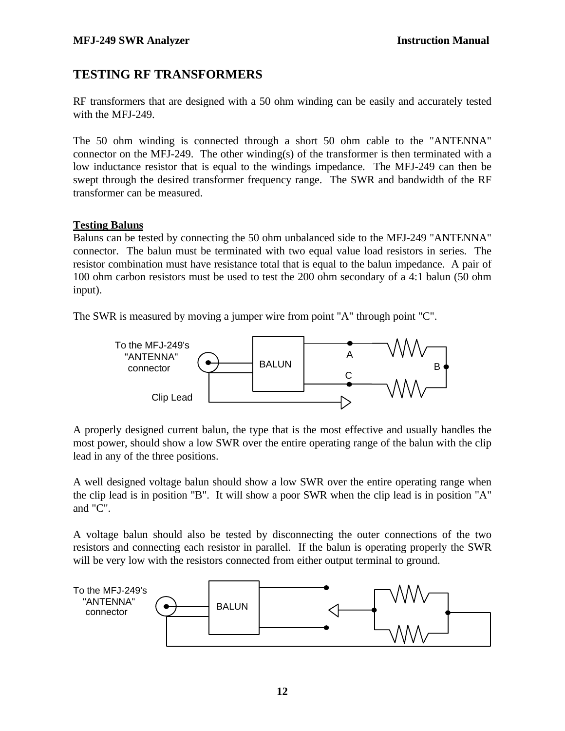### **TESTING RF TRANSFORMERS**

RF transformers that are designed with a 50 ohm winding can be easily and accurately tested with the MFJ-249.

The 50 ohm winding is connected through a short 50 ohm cable to the "ANTENNA" connector on the MFJ-249. The other winding(s) of the transformer is then terminated with a low inductance resistor that is equal to the windings impedance. The MFJ-249 can then be swept through the desired transformer frequency range. The SWR and bandwidth of the RF transformer can be measured.

#### **Testing Baluns**

Baluns can be tested by connecting the 50 ohm unbalanced side to the MFJ-249 "ANTENNA" connector. The balun must be terminated with two equal value load resistors in series. The resistor combination must have resistance total that is equal to the balun impedance. A pair of 100 ohm carbon resistors must be used to test the 200 ohm secondary of a 4:1 balun (50 ohm input).

The SWR is measured by moving a jumper wire from point "A" through point "C".



A properly designed current balun, the type that is the most effective and usually handles the most power, should show a low SWR over the entire operating range of the balun with the clip lead in any of the three positions.

A well designed voltage balun should show a low SWR over the entire operating range when the clip lead is in position "B". It will show a poor SWR when the clip lead is in position "A" and "C".

A voltage balun should also be tested by disconnecting the outer connections of the two resistors and connecting each resistor in parallel. If the balun is operating properly the SWR will be very low with the resistors connected from either output terminal to ground.

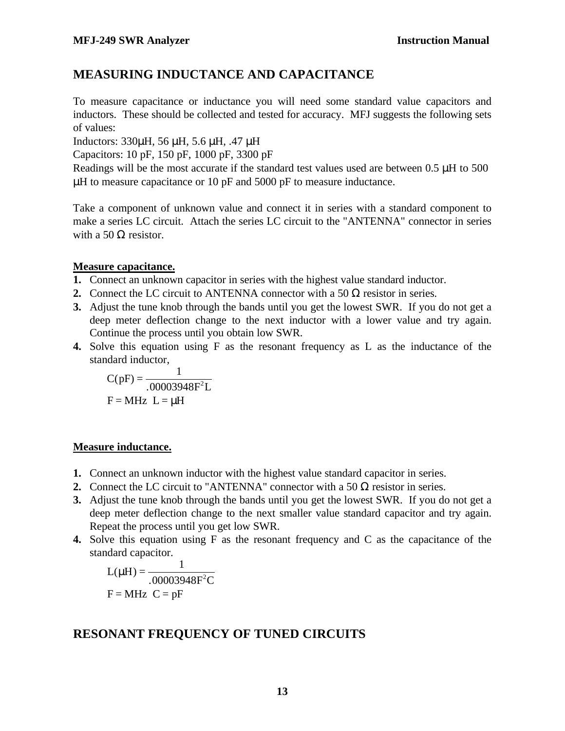### **MEASURING INDUCTANCE AND CAPACITANCE**

To measure capacitance or inductance you will need some standard value capacitors and inductors. These should be collected and tested for accuracy. MFJ suggests the following sets of values:

Inductors: 330μH, 56 μH, 5.6 μH, .47 μH

Capacitors: 10 pF, 150 pF, 1000 pF, 3300 pF

Readings will be the most accurate if the standard test values used are between 0.5 μH to 500  $\mu$ H to measure capacitance or 10 pF and 5000 pF to measure inductance.

Take a component of unknown value and connect it in series with a standard component to make a series LC circuit. Attach the series LC circuit to the "ANTENNA" connector in series with a 50  $\Omega$  resistor.

#### **Measure capacitance.**

- **1.** Connect an unknown capacitor in series with the highest value standard inductor.
- **2.** Connect the LC circuit to ANTENNA connector with a 50  $\Omega$  resistor in series.
- **3.** Adjust the tune knob through the bands until you get the lowest SWR. If you do not get a deep meter deflection change to the next inductor with a lower value and try again. Continue the process until you obtain low SWR.
- **4.** Solve this equation using F as the resonant frequency as L as the inductance of the standard inductor,

$$
C(pF) = \frac{1}{.00003948F^2L}
$$

$$
F = MHz L = mH
$$

#### **Measure inductance.**

- **1.** Connect an unknown inductor with the highest value standard capacitor in series.
- **2.** Connect the LC circuit to "ANTENNA" connector with a 50  $\Omega$  resistor in series.
- **3.** Adjust the tune knob through the bands until you get the lowest SWR. If you do not get a deep meter deflection change to the next smaller value standard capacitor and try again. Repeat the process until you get low SWR.
- **4.** Solve this equation using F as the resonant frequency and C as the capacitance of the standard capacitor.

$$
L(mH) = \frac{1}{.00003948F^{2}C}
$$

$$
F = MHz \quad C = pF
$$

### **RESONANT FREQUENCY OF TUNED CIRCUITS**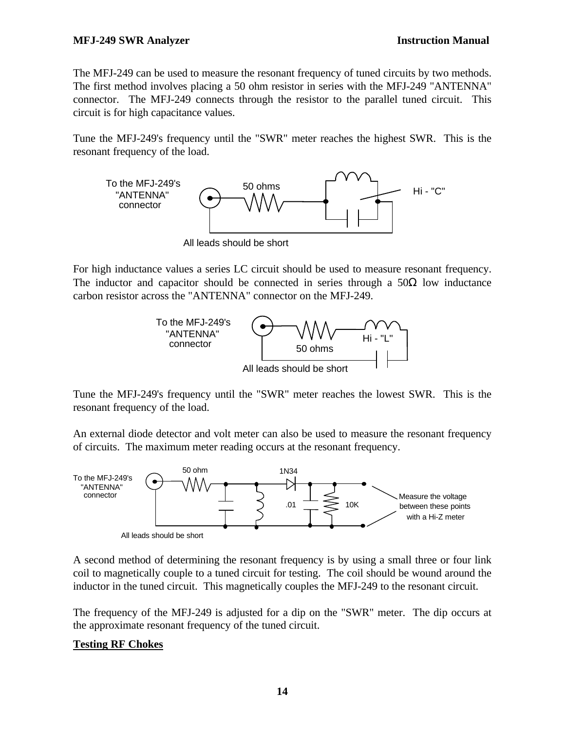The MFJ-249 can be used to measure the resonant frequency of tuned circuits by two methods. The first method involves placing a 50 ohm resistor in series with the MFJ-249 "ANTENNA" connector. The MFJ-249 connects through the resistor to the parallel tuned circuit. This circuit is for high capacitance values.

Tune the MFJ-249's frequency until the "SWR" meter reaches the highest SWR. This is the resonant frequency of the load.



For high inductance values a series LC circuit should be used to measure resonant frequency. The inductor and capacitor should be connected in series through a  $50\Omega$  low inductance carbon resistor across the "ANTENNA" connector on the MFJ-249.



Tune the MFJ-249's frequency until the "SWR" meter reaches the lowest SWR. This is the resonant frequency of the load.

An external diode detector and volt meter can also be used to measure the resonant frequency of circuits. The maximum meter reading occurs at the resonant frequency.



A second method of determining the resonant frequency is by using a small three or four link coil to magnetically couple to a tuned circuit for testing. The coil should be wound around the inductor in the tuned circuit. This magnetically couples the MFJ-249 to the resonant circuit.

The frequency of the MFJ-249 is adjusted for a dip on the "SWR" meter. The dip occurs at the approximate resonant frequency of the tuned circuit.

#### **Testing RF Chokes**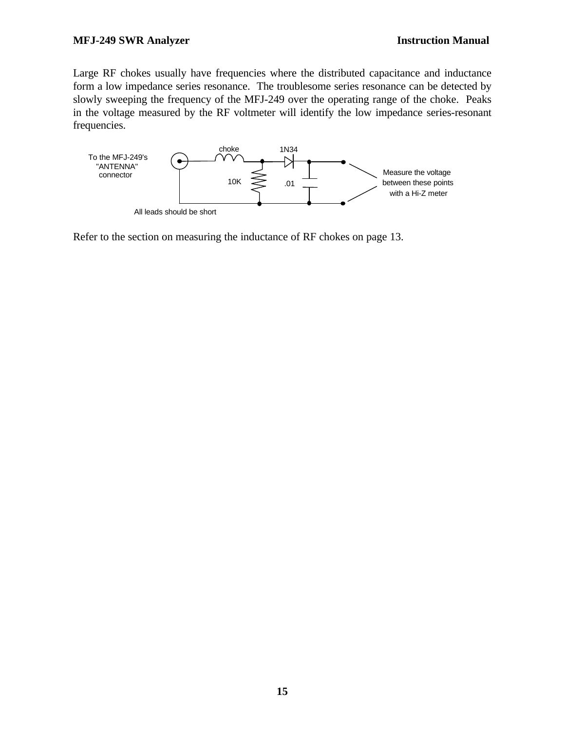Large RF chokes usually have frequencies where the distributed capacitance and inductance form a low impedance series resonance. The troublesome series resonance can be detected by slowly sweeping the frequency of the MFJ-249 over the operating range of the choke. Peaks in the voltage measured by the RF voltmeter will identify the low impedance series-resonant frequencies.



Refer to the section on measuring the inductance of RF chokes on page 13.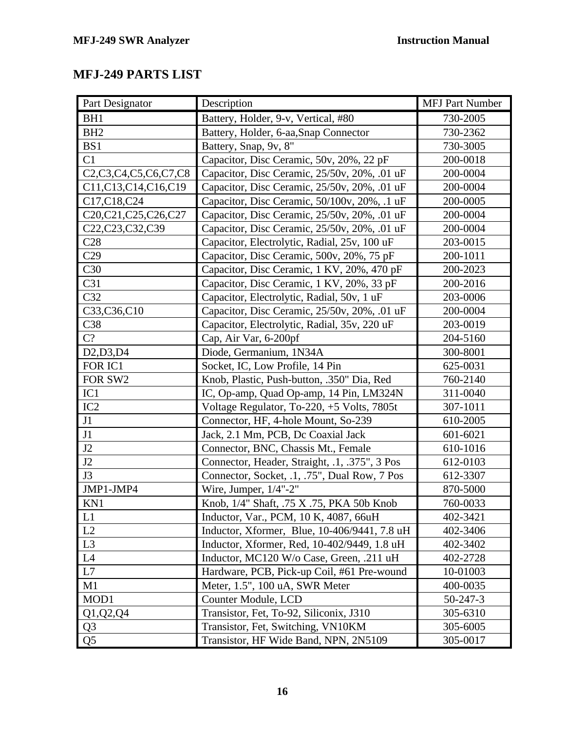# **MFJ-249 PARTS LIST**

| Part Designator                                                                                                | Description                                   | <b>MFJ Part Number</b> |
|----------------------------------------------------------------------------------------------------------------|-----------------------------------------------|------------------------|
| BH <sub>1</sub>                                                                                                | Battery, Holder, 9-v, Vertical, #80           | 730-2005               |
| BH <sub>2</sub>                                                                                                | Battery, Holder, 6-aa, Snap Connector         | 730-2362               |
| BS1                                                                                                            | Battery, Snap, 9v, 8"                         | 730-3005               |
| C1                                                                                                             | Capacitor, Disc Ceramic, 50v, 20%, 22 pF      | 200-0018               |
| C <sub>2</sub> ,C <sub>3</sub> ,C <sub>4</sub> ,C <sub>5</sub> ,C <sub>6</sub> ,C <sub>7</sub> ,C <sub>8</sub> | Capacitor, Disc Ceramic, 25/50v, 20%, .01 uF  | 200-0004               |
| C11,C13,C14,C16,C19                                                                                            | Capacitor, Disc Ceramic, 25/50v, 20%, .01 uF  | 200-0004               |
| C17, C18, C24                                                                                                  | Capacitor, Disc Ceramic, 50/100v, 20%, .1 uF  | 200-0005               |
| C20,C21,C25,C26,C27                                                                                            | Capacitor, Disc Ceramic, 25/50v, 20%, .01 uF  | 200-0004               |
| C22,C23,C32,C39                                                                                                | Capacitor, Disc Ceramic, 25/50v, 20%, .01 uF  | 200-0004               |
| C28                                                                                                            | Capacitor, Electrolytic, Radial, 25v, 100 uF  | 203-0015               |
| C29                                                                                                            | Capacitor, Disc Ceramic, 500v, 20%, 75 pF     | 200-1011               |
| C30                                                                                                            | Capacitor, Disc Ceramic, 1 KV, 20%, 470 pF    | 200-2023               |
| C31                                                                                                            | Capacitor, Disc Ceramic, 1 KV, 20%, 33 pF     | 200-2016               |
| C32                                                                                                            | Capacitor, Electrolytic, Radial, 50v, 1 uF    | 203-0006               |
| C33,C36,C10                                                                                                    | Capacitor, Disc Ceramic, 25/50v, 20%, .01 uF  | 200-0004               |
| C38                                                                                                            | Capacitor, Electrolytic, Radial, 35v, 220 uF  | 203-0019               |
| C?                                                                                                             | Cap, Air Var, 6-200pf                         | 204-5160               |
| D2,D3,D4                                                                                                       | Diode, Germanium, 1N34A                       | 300-8001               |
| FOR IC1                                                                                                        | Socket, IC, Low Profile, 14 Pin               | 625-0031               |
| FOR SW2                                                                                                        | Knob, Plastic, Push-button, .350" Dia, Red    | 760-2140               |
| IC1                                                                                                            | IC, Op-amp, Quad Op-amp, 14 Pin, LM324N       | 311-0040               |
| IC2                                                                                                            | Voltage Regulator, To-220, +5 Volts, 7805t    | 307-1011               |
| J1                                                                                                             | Connector, HF, 4-hole Mount, So-239           | 610-2005               |
| J1                                                                                                             | Jack, 2.1 Mm, PCB, Dc Coaxial Jack            | 601-6021               |
| J2                                                                                                             | Connector, BNC, Chassis Mt., Female           | 610-1016               |
| J2                                                                                                             | Connector, Header, Straight, .1, .375", 3 Pos | 612-0103               |
| J3                                                                                                             | Connector, Socket, .1, .75", Dual Row, 7 Pos  | 612-3307               |
| JMP1-JMP4                                                                                                      | Wire, Jumper, $1/4$ "-2"                      | 870-5000               |
| KN1                                                                                                            | Knob, 1/4" Shaft, .75 X .75, PKA 50b Knob     | 760-0033               |
| L1                                                                                                             | Inductor, Var., PCM, 10 K, 4087, 66uH         | 402-3421               |
| L2                                                                                                             | Inductor, Xformer, Blue, 10-406/9441, 7.8 uH  | 402-3406               |
| L3                                                                                                             | Inductor, Xformer, Red, 10-402/9449, 1.8 uH   | 402-3402               |
| L4                                                                                                             | Inductor, MC120 W/o Case, Green, .211 uH      | 402-2728               |
| L7                                                                                                             | Hardware, PCB, Pick-up Coil, #61 Pre-wound    | 10-01003               |
| M1                                                                                                             | Meter, 1.5", 100 uA, SWR Meter                | 400-0035               |
| MOD1                                                                                                           | Counter Module, LCD                           | $50 - 247 - 3$         |
| Q1, Q2, Q4                                                                                                     | Transistor, Fet, To-92, Siliconix, J310       | 305-6310               |
| Q <sub>3</sub>                                                                                                 | Transistor, Fet, Switching, VN10KM            | 305-6005               |
| Q <sub>5</sub>                                                                                                 | Transistor, HF Wide Band, NPN, 2N5109         | 305-0017               |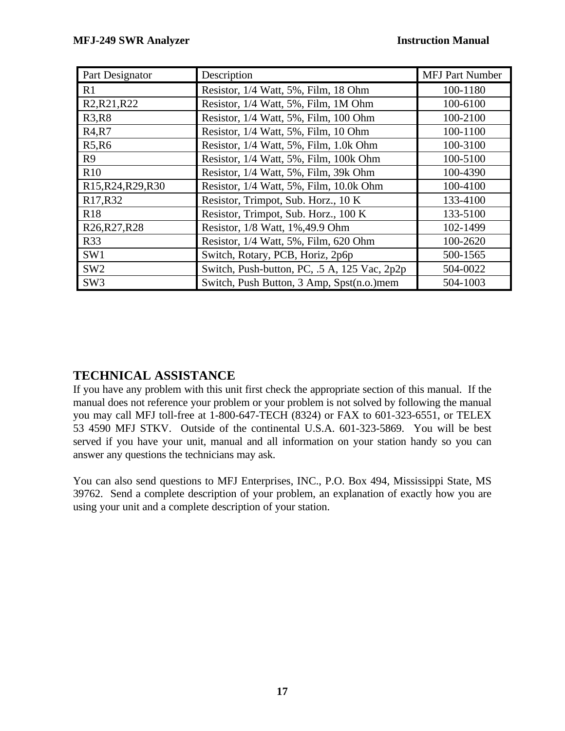| Part Designator                                                       | Description                                  | <b>MFJ Part Number</b> |
|-----------------------------------------------------------------------|----------------------------------------------|------------------------|
| R1                                                                    | Resistor, 1/4 Watt, 5%, Film, 18 Ohm         | 100-1180               |
| R <sub>2</sub> , R <sub>21</sub> , R <sub>22</sub>                    | Resistor, 1/4 Watt, 5%, Film, 1M Ohm         | 100-6100               |
| <b>R3,R8</b>                                                          | Resistor, 1/4 Watt, 5%, Film, 100 Ohm        | 100-2100               |
| R <sub>4</sub> ,R <sub>7</sub>                                        | Resistor, 1/4 Watt, 5%, Film, 10 Ohm         | 100-1100               |
| R5, R6                                                                | Resistor, 1/4 Watt, 5%, Film, 1.0k Ohm       | 100-3100               |
| R9                                                                    | Resistor, 1/4 Watt, 5%, Film, 100k Ohm       | 100-5100               |
| R10                                                                   | Resistor, 1/4 Watt, 5%, Film, 39k Ohm        | 100-4390               |
| R <sub>15</sub> , R <sub>24</sub> , R <sub>29</sub> , R <sub>30</sub> | Resistor, 1/4 Watt, 5%, Film, 10.0k Ohm      | 100-4100               |
| R <sub>17</sub> ,R <sub>32</sub>                                      | Resistor, Trimpot, Sub. Horz., 10 K          | 133-4100               |
| <b>R18</b>                                                            | Resistor, Trimpot, Sub. Horz., 100 K         | 133-5100               |
| R <sub>26</sub> , R <sub>27</sub> , R <sub>28</sub>                   | Resistor, 1/8 Watt, 1%, 49.9 Ohm             | 102-1499               |
| <b>R33</b>                                                            | Resistor, 1/4 Watt, 5%, Film, 620 Ohm        | 100-2620               |
| SW1                                                                   | Switch, Rotary, PCB, Horiz, 2p6p             | 500-1565               |
| SW <sub>2</sub>                                                       | Switch, Push-button, PC, .5 A, 125 Vac, 2p2p | 504-0022               |
| SW <sub>3</sub>                                                       | Switch, Push Button, 3 Amp, Spst(n.o.)mem    | 504-1003               |

### **TECHNICAL ASSISTANCE**

If you have any problem with this unit first check the appropriate section of this manual. If the manual does not reference your problem or your problem is not solved by following the manual you may call MFJ toll-free at 1-800-647-TECH (8324) or FAX to 601-323-6551, or TELEX 53 4590 MFJ STKV. Outside of the continental U.S.A. 601-323-5869. You will be best served if you have your unit, manual and all information on your station handy so you can answer any questions the technicians may ask.

You can also send questions to MFJ Enterprises, INC., P.O. Box 494, Mississippi State, MS 39762. Send a complete description of your problem, an explanation of exactly how you are using your unit and a complete description of your station.